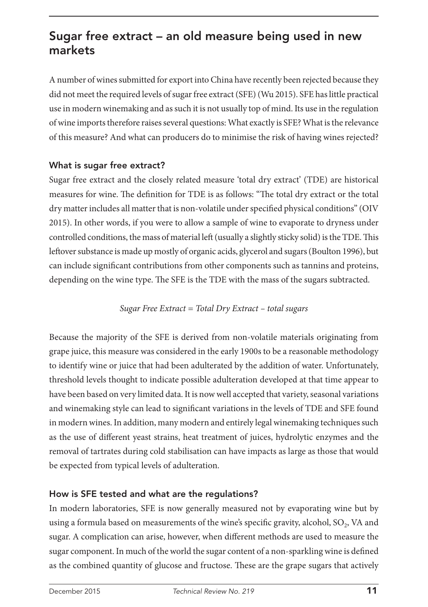# Sugar free extract – an old measure being used in new markets

A number of wines submitted for export into China have recently been rejected because they did not meet the required levels of sugar free extract (SFE) (Wu 2015). SFE has little practical use in modern winemaking and as such it is not usually top of mind. Its use in the regulation of wine imports therefore raises several questions: What exactly is SFE? What is the relevance of this measure? And what can producers do to minimise the risk of having wines rejected?

### What is sugar free extract?

Sugar free extract and the closely related measure 'total dry extract' (TDE) are historical measures for wine. The definition for TDE is as follows: "The total dry extract or the total dry matter includes all matter that is non-volatile under specified physical conditions" (OIV 2015). In other words, if you were to allow a sample of wine to evaporate to dryness under controlled conditions, the mass of material left (usually a slightly sticky solid) is the TDE. This leftover substance is made up mostly of organic acids, glycerol and sugars (Boulton 1996), but can include significant contributions from other components such as tannins and proteins, depending on the wine type. The SFE is the TDE with the mass of the sugars subtracted.

#### *Sugar Free Extract = Total Dry Extract – total sugars*

Because the majority of the SFE is derived from non-volatile materials originating from grape juice, this measure was considered in the early 1900s to be a reasonable methodology to identify wine or juice that had been adulterated by the addition of water. Unfortunately, threshold levels thought to indicate possible adulteration developed at that time appear to have been based on very limited data. It is now well accepted that variety, seasonal variations and winemaking style can lead to significant variations in the levels of TDE and SFE found in modern wines. In addition, many modern and entirely legal winemaking techniques such as the use of different yeast strains, heat treatment of juices, hydrolytic enzymes and the removal of tartrates during cold stabilisation can have impacts as large as those that would be expected from typical levels of adulteration.

# How is SFE tested and what are the regulations?

In modern laboratories, SFE is now generally measured not by evaporating wine but by using a formula based on measurements of the wine's specific gravity, alcohol, SO<sub>2</sub>, VA and sugar. A complication can arise, however, when different methods are used to measure the sugar component. In much of the world the sugar content of a non-sparkling wine is defined as the combined quantity of glucose and fructose. These are the grape sugars that actively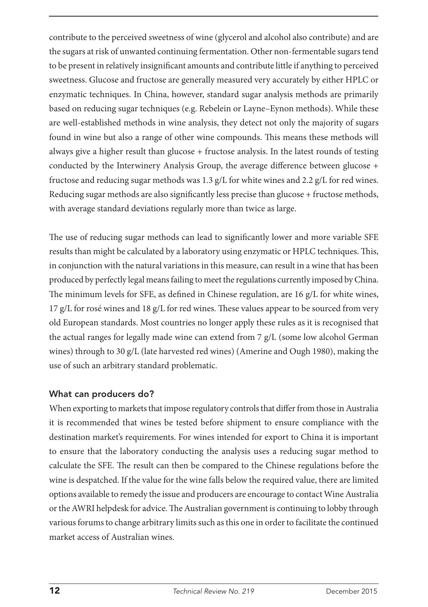contribute to the perceived sweetness of wine (glycerol and alcohol also contribute) and are the sugars at risk of unwanted continuing fermentation. Other non-fermentable sugars tend to be present in relatively insignificant amounts and contribute little if anything to perceived sweetness. Glucose and fructose are generally measured very accurately by either HPLC or enzymatic techniques. In China, however, standard sugar analysis methods are primarily based on reducing sugar techniques (e.g. Rebelein or Layne–Eynon methods). While these are well-established methods in wine analysis, they detect not only the majority of sugars found in wine but also a range of other wine compounds. This means these methods will always give a higher result than glucose  $+$  fructose analysis. In the latest rounds of testing conducted by the Interwinery Analysis Group, the average difference between glucose + fructose and reducing sugar methods was 1.3 g/L for white wines and 2.2 g/L for red wines. Reducing sugar methods are also significantly less precise than glucose + fructose methods, with average standard deviations regularly more than twice as large.

The use of reducing sugar methods can lead to significantly lower and more variable SFE results than might be calculated by a laboratory using enzymatic or HPLC techniques. This, in conjunction with the natural variations in this measure, can result in a wine that has been produced by perfectly legal means failing to meet the regulations currently imposed by China. The minimum levels for SFE, as defined in Chinese regulation, are 16 g/L for white wines,  $17 \text{ g/L}$  for rosé wines and  $18 \text{ g/L}$  for red wines. These values appear to be sourced from very old European standards. Most countries no longer apply these rules as it is recognised that the actual ranges for legally made wine can extend from 7 g/L (some low alcohol German wines) through to 30 g/L (late harvested red wines) (Amerine and Ough 1980), making the use of such an arbitrary standard problematic.

# What can producers do?

When exporting to markets that impose regulatory controls that differ from those in Australia it is recommended that wines be tested before shipment to ensure compliance with the destination market's requirements. For wines intended for export to China it is important to ensure that the laboratory conducting the analysis uses a reducing sugar method to calculate the SFE. The result can then be compared to the Chinese regulations before the wine is despatched. If the value for the wine falls below the required value, there are limited options available to remedy the issue and producers are encourage to contact Wine Australia or the AWRI helpdesk for advice. The Australian government is continuing to lobby through various forums to change arbitrary limits such as this one in order to facilitate the continued market access of Australian wines.